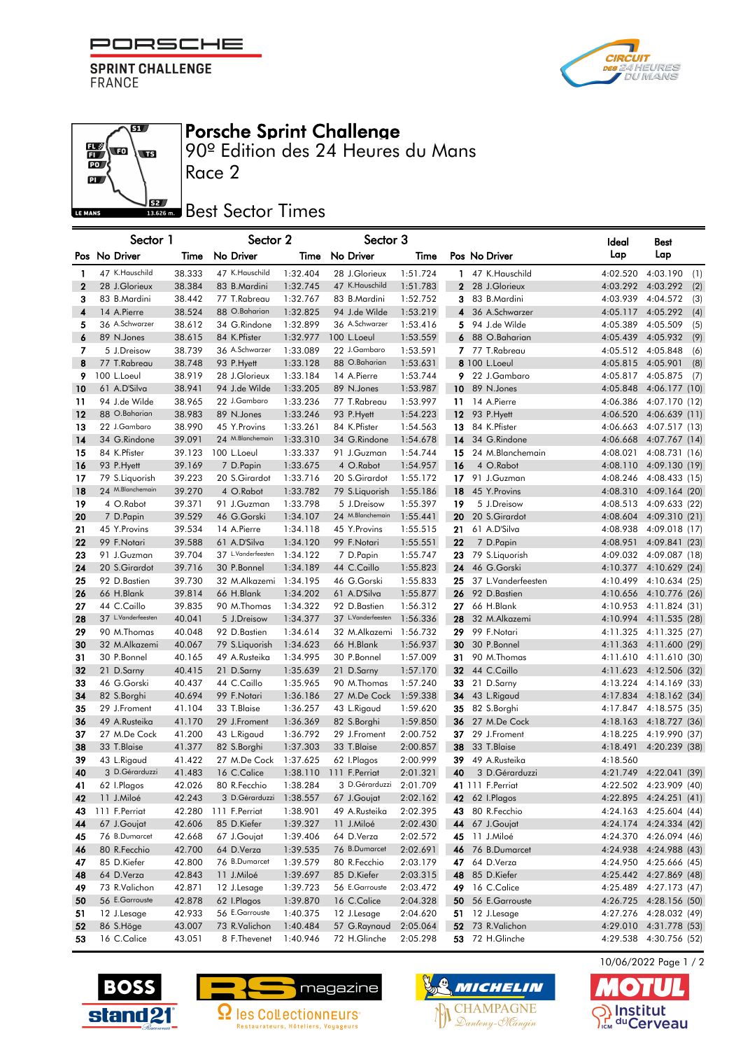

**SPRINT CHALLENGE** FRANCE

எ

**ED** 



## Porsche Sprint Challenge

90º Edition des 24 Heures du Mans

 $\overline{\mathbf{P}}$ LE MANS

 $\frac{1}{10}$ **vo** 

## **Best** Best Sector Times

Race 2

|                  | Sector 1           |        | Sector 2           |          | Sector 3           |          |                                | ldeal    | Best                     |     |
|------------------|--------------------|--------|--------------------|----------|--------------------|----------|--------------------------------|----------|--------------------------|-----|
|                  | Pos No Driver      | Time   | No Driver          | Time     | No Driver          | Time     | Pos No Driver                  | Lap      | Lap                      |     |
| 1                | 47 K.Hauschild     | 38.333 | 47 K.Hauschild     | 1:32.404 | 28 J.Glorieux      | 1:51.724 | 47 K.Hauschild<br>$\mathbf{1}$ | 4:02.520 | 4:03.190                 | (1) |
| $\boldsymbol{2}$ | 28 J.Glorieux      | 38.384 | 83 B.Mardini       | 1:32.745 | 47 K.Hauschild     | 1:51.783 | 2 28 J.Glorieux                | 4:03.292 | 4:03.292                 | (2) |
| 3                | 83 B.Mardini       | 38.442 | 77 T.Rabreau       | 1:32.767 | 83 B.Mardini       | 1:52.752 | 83 B.Mardini<br>3              | 4:03.939 | 4:04.572                 | (3) |
| 4                | 14 A.Pierre        | 38.524 | 88 O.Baharian      | 1:32.825 | 94 J.de Wilde      | 1:53.219 | 36 A.Schwarzer<br>4            | 4:05.117 | 4:05.292                 | (4) |
| 5                | 36 A.Schwarzer     | 38.612 | 34 G.Rindone       | 1:32.899 | 36 A.Schwarzer     | 1:53.416 | 5 94 J.de Wilde                | 4:05.389 | 4:05.509                 | (5) |
| 6                | 89 N.Jones         | 38.615 | 84 K. Pfister      | 1:32.977 | 100 L.Loeul        | 1:53.559 | 6<br>88 O.Baharian             | 4:05.439 | 4:05.932                 | (9) |
| 7                | 5 J.Dreisow        | 38.739 | 36 A.Schwarzer     | 1:33.089 | 22 J.Gambaro       | 1:53.591 | 7 77 T.Rabreau                 | 4:05.512 | 4:05.848                 | (6) |
| 8                | 77 T.Rabreau       | 38.748 | 93 P.Hyett         | 1:33.128 | 88 O.Baharian      | 1:53.631 | 8 100 L. Loeul                 | 4:05.815 | 4:05.901                 | (8) |
| 9                | 100 L.Loeul        | 38.919 | 28 J.Glorieux      | 1:33.184 | 14 A.Pierre        | 1:53.744 | 9 22 J.Gambaro                 | 4:05.817 | 4:05.875                 | (7) |
| 10               | 61 A.D'Silva       | 38.941 | 94 J.de Wilde      | 1:33.205 | 89 N.Jones         | 1:53.987 | 10<br>89 N.Jones               | 4:05.848 | 4:06.177 (10)            |     |
| 11               | 94 J.de Wilde      | 38.965 | 22 J.Gambaro       | 1:33.236 | 77 T.Rabreau       | 1:53.997 | 11<br>14 A.Pierre              | 4:06.386 | 4:07.170 (12)            |     |
| 12               | 88 O.Baharian      | 38.983 | 89 N.Jones         | 1:33.246 | 93 P.Hyett         | 1:54.223 | 12 <sub>2</sub><br>93 P.Hyett  | 4:06.520 | 4:06.639 (11)            |     |
| 13               | 22 J.Gambaro       | 38.990 | 45 Y.Provins       | 1:33.261 | 84 K. Pfister      | 1:54.563 | 84 K.Pfister<br>13             | 4:06.663 | 4:07.517 (13)            |     |
| 14               | 34 G.Rindone       | 39.091 | 24 M.Blanchemain   | 1:33.310 | 34 G.Rindone       | 1:54.678 | 14<br>34 G.Rindone             | 4:06.668 | 4:07.767 (14)            |     |
| 15               | 84 K. Pfister      | 39.123 | 100 L.Loeul        | 1:33.337 | 91 J.Guzman        | 1:54.744 | 15<br>24 M.Blanchemain         | 4:08.021 | 4:08.731 (16)            |     |
| 16               | 93 P.Hyett         | 39.169 | 7 D.Papin          | 1:33.675 | 4 O.Rabot          | 1:54.957 | 16<br>4 O.Rabot                | 4:08.110 | 4:09.130 (19)            |     |
| 17               | 79 S.Liquorish     | 39.223 | 20 S.Girardot      | 1:33.716 | 20 S.Girardot      | 1:55.172 | 91 J.Guzman<br>17              | 4:08.246 | 4:08.433 (15)            |     |
| 18               | 24 M.Blanchemain   | 39.270 | 4 O.Rabot          | 1:33.782 | 79 S.Liquorish     | 1:55.186 | 18<br>45 Y.Provins             | 4:08.310 | 4:09.164 (20)            |     |
| 19               | 4 O.Rabot          | 39.371 | 91 J.Guzman        | 1:33.798 | 5 J.Dreisow        | 1:55.397 | 19<br>5 J.Dreisow              | 4:08.513 | 4:09.633 (22)            |     |
| 20               | 7 D.Papin          | 39.529 | 46 G.Gorski        | 1:34.107 | 24 M.Blanchemain   | 1:55.441 | 20<br>20 S.Girardot            | 4:08.604 | 4:09.310 (21)            |     |
| 21               | 45 Y.Provins       | 39.534 | 14 A.Pierre        | 1:34.118 | 45 Y.Provins       | 1:55.515 | 61 A.D'Silva<br>21             | 4:08.938 | 4:09.018 (17)            |     |
| 22               | 99 F.Notari        | 39.588 | 61 A.D'Silva       | 1:34.120 | 99 F.Notari        | 1:55.551 | 22<br>7 D.Papin                | 4:08.951 | 4:09.841 (23)            |     |
| 23               | 91 J.Guzman        | 39.704 | 37 L.Vanderfeesten | 1:34.122 | 7 D.Papin          | 1:55.747 | 23<br>79 S.Liquorish           | 4:09.032 | 4:09.087 (18)            |     |
| 24               | 20 S.Girardot      | 39.716 | 30 P.Bonnel        | 1:34.189 | 44 C.Caillo        | 1:55.823 | 24<br>46 G.Gorski              | 4:10.377 | 4:10.629 (24)            |     |
| 25               | 92 D.Bastien       | 39.730 | 32 M.Alkazemi      | 1:34.195 | 46 G.Gorski        | 1:55.833 | 25<br>37 L.Vanderfeesten       | 4:10.499 | 4:10.634 (25)            |     |
| 26               | 66 H.Blank         | 39.814 | 66 H.Blank         | 1:34.202 | 61 A.D'Silva       | 1:55.877 | 26<br>92 D.Bastien             | 4:10.656 | 4:10.776 (26)            |     |
| 27               | 44 C.Caillo        | 39.835 | 90 M.Thomas        | 1:34.322 | 92 D.Bastien       | 1:56.312 | 27<br>66 H.Blank               | 4:10.953 | 4:11.824 (31)            |     |
| 28               | 37 L.Vanderfeesten | 40.041 | 5 J.Dreisow        | 1:34.377 | 37 L.Vanderfeesten | 1:56.336 | 28<br>32 M.Alkazemi            | 4:10.994 | 4:11.535 (28)            |     |
| 29               | 90 M.Thomas        | 40.048 | 92 D.Bastien       | 1:34.614 | 32 M.Alkazemi      | 1:56.732 | 29<br>99 F.Notari              | 4:11.325 | 4:11.325 (27)            |     |
| 30               | 32 M.Alkazemi      | 40.067 | 79 S.Liquorish     | 1:34.623 | 66 H.Blank         | 1:56.937 | 30<br>30 P.Bonnel              | 4:11.363 | 4:11.600 (29)            |     |
| 31               | 30 P.Bonnel        | 40.165 | 49 A.Rusteika      | 1:34.995 | 30 P.Bonnel        | 1:57.009 | 31<br>90 M.Thomas              | 4:11.610 | 4:11.610 (30)            |     |
| 32               | 21 D.Sarny         | 40.415 | 21 D.Sarny         | 1:35.639 | 21 D.Sarny         | 1:57.170 | 32<br>44 C.Caillo              | 4:11.623 | 4:12.506 (32)            |     |
| 33               | 46 G.Gorski        | 40.437 | 44 C.Caillo        | 1:35.965 | 90 M.Thomas        | 1:57.240 | 33<br>21 D.Sarny               | 4:13.224 | 4:14.169 (33)            |     |
| 34               | 82 S.Borghi        | 40.694 | 99 F.Notari        | 1:36.186 | 27 M.De Cock       | 1:59.338 | 34<br>43 L.Rigaud              | 4:17.834 | 4:18.162 (34)            |     |
| 35               | 29 J.Froment       | 41.104 | 33 T.Blaise        | 1:36.257 | 43 L.Rigaud        | 1:59.620 | 35<br>82 S.Borghi              | 4:17.847 | 4:18.575 (35)            |     |
| 36               | 49 A.Rusteika      | 41.170 | 29 J.Froment       | 1:36.369 | 82 S.Borghi        | 1:59.850 | 36<br>27 M.De Cock             | 4:18.163 | 4:18.727 (36)            |     |
| 37               | 27 M.De Cock       | 41.200 | 43 L.Rigaud        | 1:36.792 | 29 J.Froment       | 2:00.752 | 37 29 J.Froment                | 4:18.225 | 4:19.990 (37)            |     |
| 38               | 33 T.Blaise        | 41.377 | 82 S.Borghi        | 1:37.303 | 33 T.Blaise        | 2:00.857 | 38<br>33 T.Blaise              | 4:18.491 | 4:20.239 (38)            |     |
| 39               | 43 L.Rigaud        | 41.422 | 27 M.De Cock       | 1:37.625 | 62 I.Plagos        | 2:00.999 | 49 A.Rusteika<br>39            | 4:18.560 |                          |     |
| 40               | 3 D.Gérarduzzi     | 41.483 | 16 C.Calice        | 1:38.110 | 111 F.Perriat      | 2:01.321 | 40<br>3 D.Gérarduzzi           | 4:21.749 | 4:22.041 (39)            |     |
| 41               | 62 I.Plagos        | 42.026 | 80 R.Fecchio       | 1:38.284 | 3 D.Gérarduzzi     | 2:01.709 | 41 111 F.Perriat               |          | 4:22.502 4:23.909 (40)   |     |
| 42               | 11 J.Miloé         | 42.243 | 3 D.Gérarduzzi     | 1:38.557 | 67 J.Goujat        | 2:02.162 | <b>42</b> 62 I.Plagos          |          | 4:22.895 4:24.251 (41)   |     |
| 43               | 111 F.Perriat      | 42.280 | 111 F.Perriat      | 1:38.901 | 49 A.Rusteika      | 2:02.395 | 80 R.Fecchio<br>43             |          | 4:24.163 4:25.604 (44)   |     |
| 44               | 67 J.Goujat        | 42.606 | 85 D.Kiefer        | 1:39.327 | 11 J.Miloé         | 2:02.430 | 44<br>67 J.Goujat              | 4:24.174 | 4:24.334 (42)            |     |
| 45               | 76 B.Dumarcet      | 42.668 | 67 J.Goujat        | 1:39.406 | 64 D.Verza         | 2:02.572 | 45 11 J.Miloé                  |          | 4:24.370 4:26.094 (46)   |     |
| 46               | 80 R.Fecchio       | 42.700 | 64 D.Verza         | 1:39.535 | 76 B.Dumarcet      | 2:02.691 | 76 B.Dumarcet<br>46            | 4:24.938 | 4:24.988 (43)            |     |
| 47               | 85 D.Kiefer        | 42.800 | 76 B.Dumarcet      | 1:39.579 | 80 R.Fecchio       | 2:03.179 | 47 64 D.Verza                  | 4:24.950 | 4:25.666 (45)            |     |
| 48               | 64 D.Verza         | 42.843 | 11 J.Miloé         | 1:39.697 | 85 D.Kiefer        | 2:03.315 | 48 85 D.Kiefer                 | 4:25.442 | 4:27.869 (48)            |     |
| 49               | 73 R.Valichon      | 42.871 | 12 J.Lesage        | 1:39.723 | 56 E.Garrouste     | 2:03.472 | 16 C.Calice<br>49              |          | 4:25.489 4:27.173 (47)   |     |
| 50               | 56 E.Garrouste     | 42.878 | 62 I.Plagos        | 1:39.870 | 16 C.Calice        | 2:04.328 | 56 E.Garrouste<br>50           |          | 4:26.725  4:28.156  (50) |     |
| 51               | 12 J.Lesage        | 42.933 | 56 E.Garrouste     | 1:40.375 | 12 J.Lesage        | 2:04.620 | <b>51</b> 12 J. Lesage         |          | 4:27.276 4:28.032 (49)   |     |
| 52               | 86 S.Höge          | 43.007 | 73 R.Valichon      | 1:40.484 | 57 G.Raynaud       | 2:05.064 | 52<br>73 R.Valichon            |          | 4:29.010 4:31.778 (53)   |     |
| 53               | 16 C.Calice        | 43.051 | 8 F.Thevenet       | 1:40.946 | 72 H.Glinche       | 2:05.298 | 53 72 H.Glinche                |          | 4:29.538 4:30.756 (52)   |     |